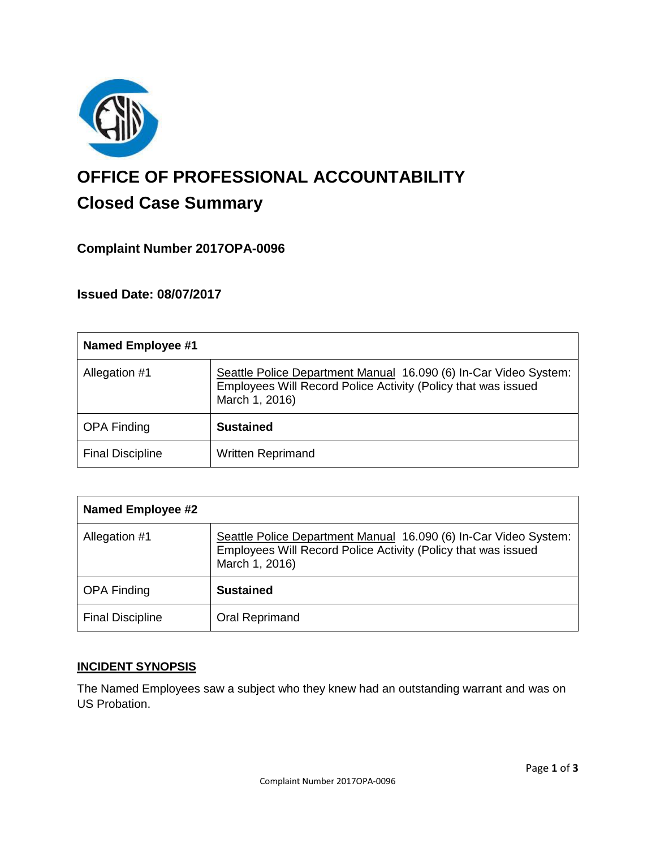

# **OFFICE OF PROFESSIONAL ACCOUNTABILITY Closed Case Summary**

## **Complaint Number 2017OPA-0096**

**Issued Date: 08/07/2017**

| <b>Named Employee #1</b> |                                                                                                                                                     |
|--------------------------|-----------------------------------------------------------------------------------------------------------------------------------------------------|
| Allegation #1            | Seattle Police Department Manual 16.090 (6) In-Car Video System:<br>Employees Will Record Police Activity (Policy that was issued<br>March 1, 2016) |
| <b>OPA Finding</b>       | <b>Sustained</b>                                                                                                                                    |
| <b>Final Discipline</b>  | <b>Written Reprimand</b>                                                                                                                            |

| <b>Named Employee #2</b> |                                                                                                                                                     |
|--------------------------|-----------------------------------------------------------------------------------------------------------------------------------------------------|
| Allegation #1            | Seattle Police Department Manual 16.090 (6) In-Car Video System:<br>Employees Will Record Police Activity (Policy that was issued<br>March 1, 2016) |
| <b>OPA Finding</b>       | <b>Sustained</b>                                                                                                                                    |
| <b>Final Discipline</b>  | Oral Reprimand                                                                                                                                      |

## **INCIDENT SYNOPSIS**

The Named Employees saw a subject who they knew had an outstanding warrant and was on US Probation.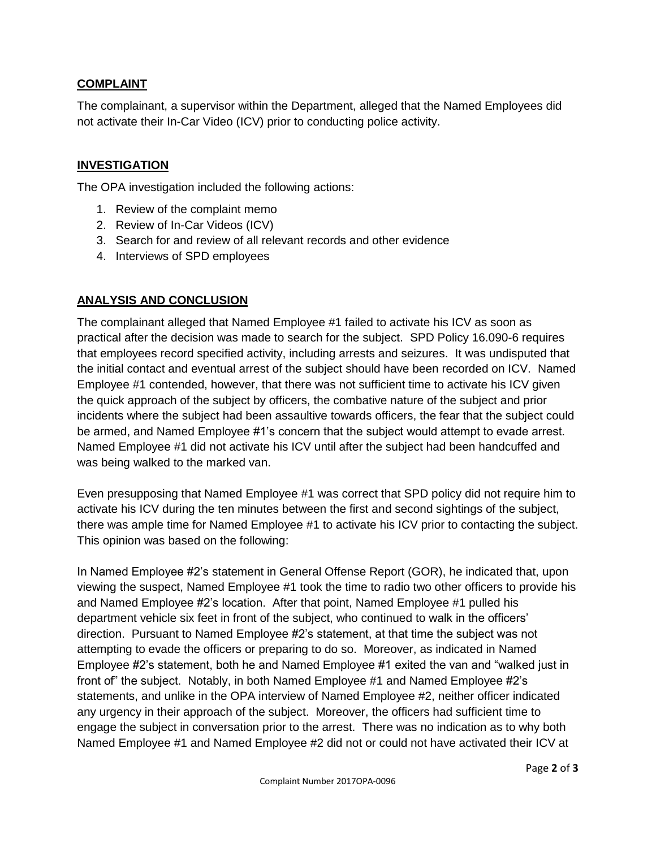## **COMPLAINT**

The complainant, a supervisor within the Department, alleged that the Named Employees did not activate their In-Car Video (ICV) prior to conducting police activity.

### **INVESTIGATION**

The OPA investigation included the following actions:

- 1. Review of the complaint memo
- 2. Review of In-Car Videos (ICV)
- 3. Search for and review of all relevant records and other evidence
- 4. Interviews of SPD employees

## **ANALYSIS AND CONCLUSION**

The complainant alleged that Named Employee #1 failed to activate his ICV as soon as practical after the decision was made to search for the subject. SPD Policy 16.090-6 requires that employees record specified activity, including arrests and seizures. It was undisputed that the initial contact and eventual arrest of the subject should have been recorded on ICV. Named Employee #1 contended, however, that there was not sufficient time to activate his ICV given the quick approach of the subject by officers, the combative nature of the subject and prior incidents where the subject had been assaultive towards officers, the fear that the subject could be armed, and Named Employee #1's concern that the subject would attempt to evade arrest. Named Employee #1 did not activate his ICV until after the subject had been handcuffed and was being walked to the marked van.

Even presupposing that Named Employee #1 was correct that SPD policy did not require him to activate his ICV during the ten minutes between the first and second sightings of the subject, there was ample time for Named Employee #1 to activate his ICV prior to contacting the subject. This opinion was based on the following:

In Named Employee #2's statement in General Offense Report (GOR), he indicated that, upon viewing the suspect, Named Employee #1 took the time to radio two other officers to provide his and Named Employee #2's location. After that point, Named Employee #1 pulled his department vehicle six feet in front of the subject, who continued to walk in the officers' direction. Pursuant to Named Employee #2's statement, at that time the subject was not attempting to evade the officers or preparing to do so. Moreover, as indicated in Named Employee #2's statement, both he and Named Employee #1 exited the van and "walked just in front of" the subject. Notably, in both Named Employee #1 and Named Employee #2's statements, and unlike in the OPA interview of Named Employee #2, neither officer indicated any urgency in their approach of the subject. Moreover, the officers had sufficient time to engage the subject in conversation prior to the arrest. There was no indication as to why both Named Employee #1 and Named Employee #2 did not or could not have activated their ICV at